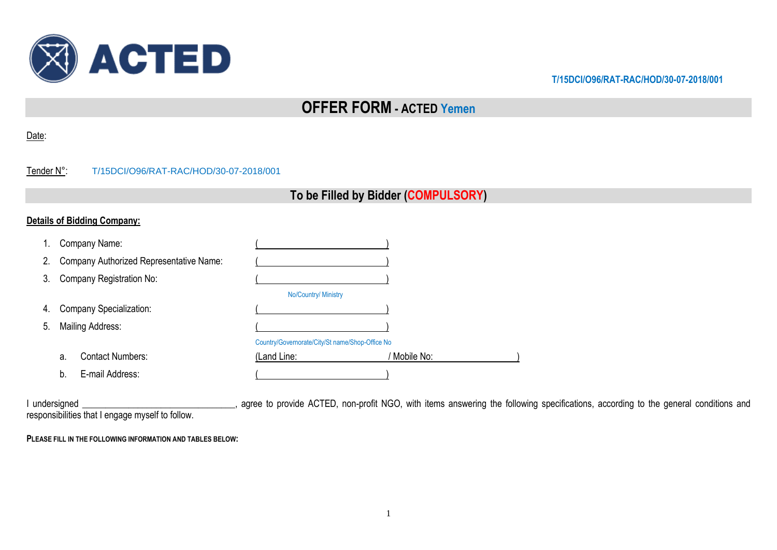

# **OFFER FORM - ACTED Yemen**

#### Date:

| Tender N°: | T/15DCI/O96/RAT-RAC/HOD/30-07-2018/001 |
|------------|----------------------------------------|
|            |                                        |

## **To be Filled by Bidder (COMPULSORY)**

## **Details of Bidding Company:**

|    | Company Name:                           |                                                 |            |
|----|-----------------------------------------|-------------------------------------------------|------------|
| 2. | Company Authorized Representative Name: |                                                 |            |
| 3. | Company Registration No:                |                                                 |            |
|    |                                         | No/Country/ Ministry                            |            |
| 4. | Company Specialization:                 |                                                 |            |
| 5. | <b>Mailing Address:</b>                 |                                                 |            |
|    |                                         | Country/Governorate/City/St name/Shop-Office No |            |
|    | <b>Contact Numbers:</b><br>a.           | (Land Line:                                     | Mobile No: |
|    | E-mail Address:<br>b.                   |                                                 |            |

I undersigned \_\_\_\_\_\_\_\_\_\_\_\_\_\_\_\_\_\_\_\_\_\_\_\_\_\_\_\_\_\_\_, agree to provide ACTED, non-profit NGO, with items answering the following specifications, according to the general conditions and responsibilities that I engage myself to follow.

**PLEASE FILL IN THE FOLLOWING INFORMATION AND TABLES BELOW:**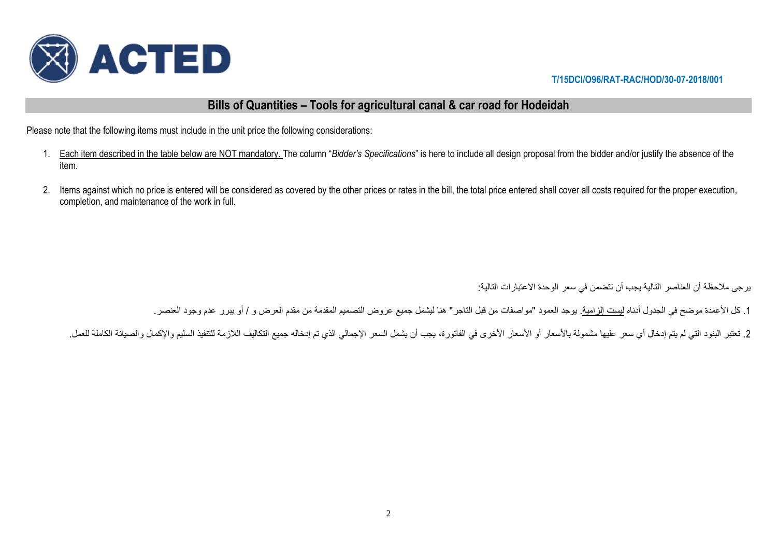

## **Bills of Quantities – Tools for agricultural canal & car road for Hodeidah**

Please note that the following items must include in the unit price the following considerations:

- 1. Each item described in the table below are NOT mandatory. The column "*Bidder's Specifications*" is here to include all design proposal from the bidder and/or justify the absence of the item.
- 2. Items against which no price is entered will be considered as covered by the other prices or rates in the bill, the total price entered shall cover all costs required for the proper execution, completion, and maintenance of the work in full.

يرجى مالحظة أن العناصر التالية يجب أن تتضمن في سعر الوحدة االعتبارات التالية:

1. كل الأعمدة موضح في الجدول أدناه ليست إلزامية. يوجد العمود "مواصفات من قبل التاجر" هنا ليشمل جميع عروض التصميم المقدمة من مقدم العرض و / أو يبرر عدم وجود العنصر.

2. تعتبر البنود التي لم بتم إدخال أي سعر عليها مشمولة بالأسعار الأخرى في الفاتورة، يجب أن يشمل السعر الإجمالي الذي تم إدخاله جميع التكاليف اللازمة للتنفيذ السليم والإكمال والصيانة الكاملة للعمل.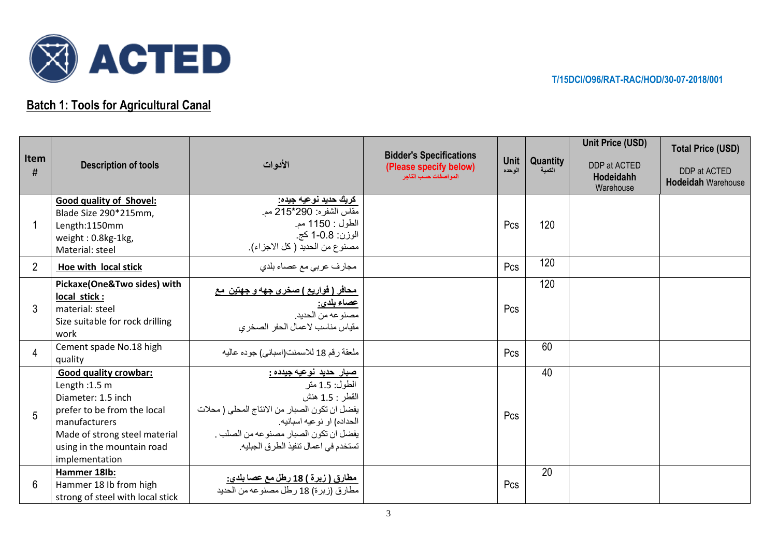

## **Batch 1: Tools for Agricultural Canal**

|                |                                                                                                                                                                                                      |                                                                                                                                                                                                                                     |                                                                                  |                       |                    | <b>Unit Price (USD)</b>                | <b>Total Price (USD)</b>                  |
|----------------|------------------------------------------------------------------------------------------------------------------------------------------------------------------------------------------------------|-------------------------------------------------------------------------------------------------------------------------------------------------------------------------------------------------------------------------------------|----------------------------------------------------------------------------------|-----------------------|--------------------|----------------------------------------|-------------------------------------------|
| Item<br>#      | <b>Description of tools</b>                                                                                                                                                                          | الأدوات                                                                                                                                                                                                                             | <b>Bidder's Specifications</b><br>(Please specify below)<br>المواصفات حسب التاجر | <b>Unit</b><br>الوحده | Quantity<br>الكمية | DDP at ACTED<br>Hodeidahh<br>Warehouse | DDP at ACTED<br><b>Hodeidah Warehouse</b> |
|                | <b>Good quality of Shovel:</b><br>Blade Size 290*215mm,<br>Length:1150mm<br>weight: 0.8kg-1kg,<br>Material: steel                                                                                    | كريك حديد نوعيه جيده:<br>مقاس الشفره: 290*215 مم.<br>الطول : 1150 مم.<br>الوزن: 1-0.8 كج.<br>مصنوع من الحديد ( كل الاجزاء).                                                                                                         |                                                                                  | Pcs                   | 120                |                                        |                                           |
| $\overline{2}$ | Hoe with local stick                                                                                                                                                                                 | مجارف عربي مع عصاء بلدي                                                                                                                                                                                                             |                                                                                  | Pcs                   | 120                |                                        |                                           |
| 3              | Pickaxe(One&Two sides) with<br>local stick:<br>material: steel<br>Size suitable for rock drilling<br>work                                                                                            | ِ محافر ( فواريع ) صخر ي جهه و جهتين  مع<br><u>عصاء بلدي:</u><br>مصنوعه من الحديد.<br>مقياس مناسب لاعمال الحفر الصخرى                                                                                                               |                                                                                  | Pcs                   | 120                |                                        |                                           |
| 4              | Cement spade No.18 high<br>quality                                                                                                                                                                   | ملعقة رقم 18 للاسمنت(اسباني) جوده عاليه                                                                                                                                                                                             |                                                                                  | Pcs                   | 60                 |                                        |                                           |
| 5              | <b>Good quality crowbar:</b><br>Length: 1.5 m<br>Diameter: 1.5 inch<br>prefer to be from the local<br>manufacturers<br>Made of strong steel material<br>using in the mountain road<br>implementation | <u>صبار حدید نوعیه جیدده :</u><br>الطول: 1.5 متر<br>القطر : 1.5 هنش<br>يفضل ان تكون الصبار من الانتاج المحلي ( محلات<br>الحداده) او نوعيه اسبانيه.<br>يفضل ان تكون الصبار مصنوعه من الصلب .<br>تستخدم في اعمال تنفيذ الطرق الجبليه. |                                                                                  | Pcs                   | 40                 |                                        |                                           |
| 6              | Hammer 18lb:<br>Hammer 18 lb from high<br>strong of steel with local stick                                                                                                                           | <u>مطارق ( زبرة ) 18 رطل مع عصا بلدي:</u><br>مطار ق (زبر ة) 18 رطل مصنوعه من الحديد                                                                                                                                                 |                                                                                  | Pcs                   | 20                 |                                        |                                           |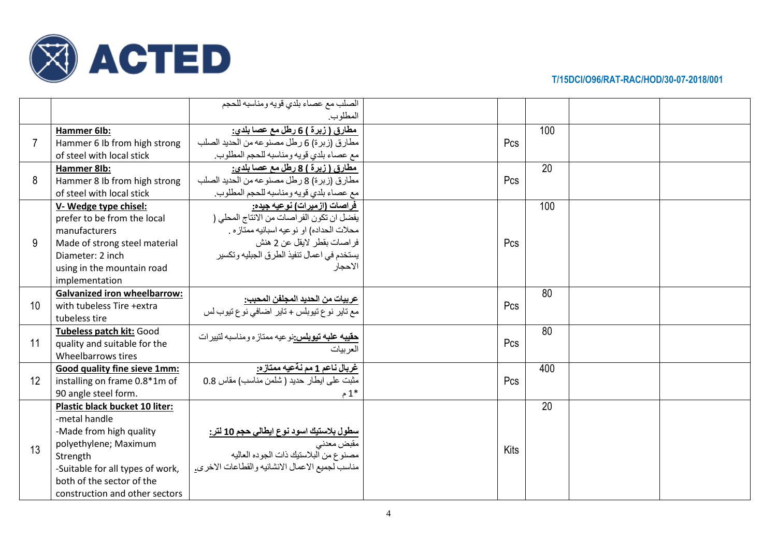

|                |                                     | الصلب مع عصاء بلدي قويه ومناسبه للحجم                                      |      |     |  |
|----------------|-------------------------------------|----------------------------------------------------------------------------|------|-----|--|
|                |                                     | المطلوب.                                                                   |      |     |  |
|                | Hammer 6Ib:                         | <u>مطارق ( زبرة ) 6 رطل مع عصا بلدي:</u>                                   |      | 100 |  |
| $\overline{7}$ | Hammer 6 Ib from high strong        | مطارق (زبرة) 6 رطل مصنوعه من الحديد الصلب                                  | Pcs  |     |  |
|                | of steel with local stick           | مع عصاء بلدي قويه ومناسبه للحجم المطلوب.                                   |      |     |  |
|                | Hammer 8Ib:                         | مطارق ( زبرة ) 8 رطل مع عصا بلدي:                                          |      | 20  |  |
| 8              | Hammer 8 Ib from high strong        | مطارق (زبرة) 8 رطل مصنوعه من الحديد الصلب                                  | Pcs  |     |  |
|                | of steel with local stick           | مع عصاء بلدي قويه ومناسبه للحجم المطلوب.                                   |      |     |  |
|                | V-Wedge type chisel:                | فراصات (ازمیرات) نوعیه جیده:                                               |      | 100 |  |
|                | prefer to be from the local         | يفضل ان تكون الفراصات من الانتاج المحلي (                                  |      |     |  |
|                | manufacturers                       | محلات الحداده) او نوعيه اسبانيه ممتاز ه .                                  |      |     |  |
| 9              | Made of strong steel material       | فراصات بقطر لايقل عن 2 هنش                                                 | Pcs  |     |  |
|                | Diameter: 2 inch                    | يستخدم في اعمال تنفيذ الطرق الجبليه وتكسير                                 |      |     |  |
|                | using in the mountain road          | الاحجار                                                                    |      |     |  |
|                | implementation                      |                                                                            |      |     |  |
|                | <b>Galvanized iron wheelbarrow:</b> | <u> عربيات من الحديد المجلفن المحبب:</u>                                   |      | 80  |  |
| 10             | with tubeless Tire +extra           | مع تاير نوع تيوبلس + تاير اضافي نوع تيوب لس                                | Pcs  |     |  |
|                | tubeless tire                       |                                                                            |      |     |  |
|                | Tubeless patch kit: Good            | <mark>حقيبه علبه تيوبلس:</mark> نو عيه ممتاز ه ومناسبه لتبير ات            |      | 80  |  |
| 11             | quality and suitable for the        | العر ببات                                                                  | Pcs  |     |  |
|                | Wheelbarrows tires                  |                                                                            |      |     |  |
|                | Good quality fine sieve 1mm:        | <u>غربال ناعم 1 مم نةعيه ممتازه:</u>                                       |      | 400 |  |
| 12             | installing on frame 0.8*1m of       | مثبت على ايطار حديد (شلمن مناسب) مقاس 0.8                                  | Pcs  |     |  |
|                | 90 angle steel form.                | م $1^*$                                                                    |      |     |  |
|                | Plastic black bucket 10 liter:      |                                                                            |      | 20  |  |
|                | -metal handle                       |                                                                            |      |     |  |
|                | -Made from high quality             | <mark>سطول بلاستيك اسود نوع ايطال<i>ي</i> حجم 10 لتر:</mark><br>مقبض معدني |      |     |  |
| 13             | polyethylene; Maximum               |                                                                            | Kits |     |  |
|                | Strength                            | مصنو ع من البلاستيك ذات الجو ده العاليه                                    |      |     |  |
|                | -Suitable for all types of work,    | مناسب لجميع الاعمال الانشائيه والقطاعات الاخرى.                            |      |     |  |
|                | both of the sector of the           |                                                                            |      |     |  |
|                | construction and other sectors      |                                                                            |      |     |  |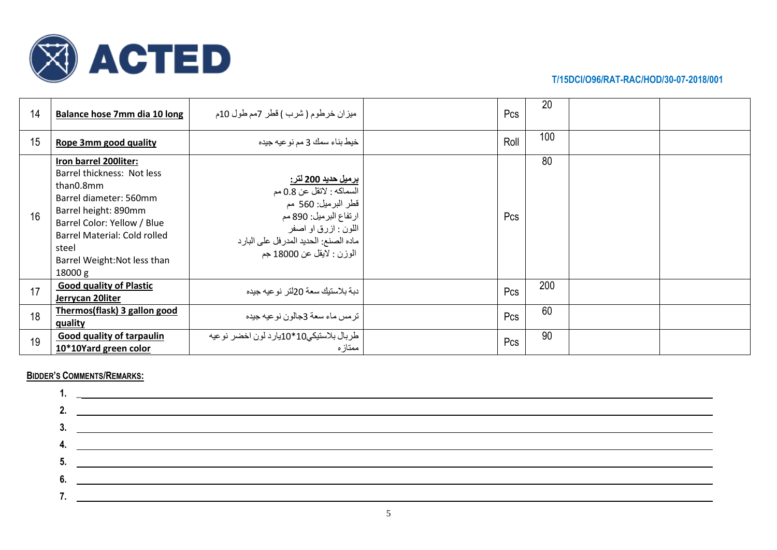

| 14 | Balance hose 7mm dia 10 long                                                                                                                                                                                                          | ميزان خرطوم ( شرب ) قطر 7مم طول 10م                                                                                                                                                                      | Pcs  | 20  |  |
|----|---------------------------------------------------------------------------------------------------------------------------------------------------------------------------------------------------------------------------------------|----------------------------------------------------------------------------------------------------------------------------------------------------------------------------------------------------------|------|-----|--|
| 15 | Rope 3mm good quality                                                                                                                                                                                                                 | خيط بناء سمك 3 مم نو عيه جيده                                                                                                                                                                            | Roll | 100 |  |
| 16 | Iron barrel 200liter:<br>Barrel thickness: Not less<br>than0.8mm<br>Barrel diameter: 560mm<br>Barrel height: 890mm<br>Barrel Color: Yellow / Blue<br>Barrel Material: Cold rolled<br>steel<br>Barrel Weight: Not less than<br>18000 g | <u>برميل حديد 200 لتر:</u><br>السماكه : لاتقل عن 0.8 مم<br>قطر البرميل: 560 مم<br>ارتفاع البرميل: 890 مم<br>اللون : ازرق او اصفر<br>ماده الصنع: الحديد المدر فل على البار د<br>الوزن : لايقل عن 18000 جم | Pcs  | 80  |  |
| 17 | <b>Good quality of Plastic</b><br>Jerrycan 20liter                                                                                                                                                                                    | دبة بلاستيك سعة 20لتر ـنو عيه جيده                                                                                                                                                                       | Pcs  | 200 |  |
| 18 | Thermos(flask) 3 gallon good<br>quality                                                                                                                                                                                               | ترمس ماء سعة 3جالون نوعيه جيده                                                                                                                                                                           | Pcs  | 60  |  |
| 19 | <b>Good quality of tarpaulin</b><br>10*10Yard green color                                                                                                                                                                             | طربال بلاستيكي10*10يارد لون اخضر نوعيه<br>ممتاز ہ                                                                                                                                                        | Pcs  | 90  |  |

## **BIDDER'S COMMENTS/REMARKS:**

|    | <u> 1989 - Johann Stein, mars an deus Amerikaansk kommunister (</u> |
|----|---------------------------------------------------------------------|
| 3. |                                                                     |
| 4  | <u> 1980 - John Barnett, fransk politiker (d. 1980)</u>             |
|    | 5.                                                                  |
|    |                                                                     |
|    |                                                                     |
|    |                                                                     |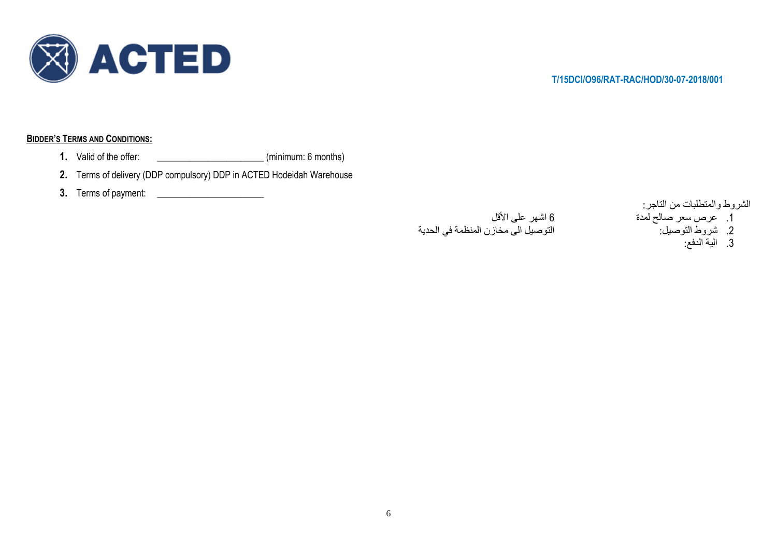

## **BIDDER'S TERMS AND CONDITIONS:**

- 1. Valid of the offer: \_\_\_\_\_\_\_\_\_\_\_\_\_\_\_\_\_\_\_\_\_\_\_\_\_\_\_\_\_(minimum: 6 months)
- **2.** Terms of delivery (DDP compulsory) DDP in ACTED Hodeidah Warehouse
- **3.** Terms of payment: \_\_\_\_\_\_\_\_\_\_\_\_\_\_\_\_\_\_\_\_\_\_\_

## .1 عرص سعر صالح لمدة 6 اشهر على األقل التوصيل الى مخازن المنظمة في الحدية

- الشروط والمتطلبات من التاجر:
- - - .3 الية الدفع: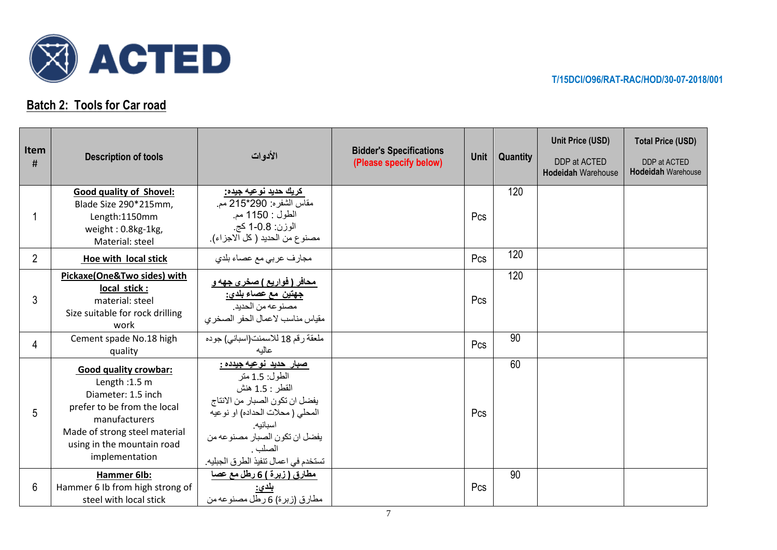

## **Batch 2: Tools for Car road**

| Item<br>#      | <b>Description of tools</b>                                                                                                                                                                            | الأدوات                                                                                                                                                                                                                                   | <b>Bidder's Specifications</b><br>(Please specify below) | Unit | <b>Quantity</b> | Unit Price (USD)<br>DDP at ACTED<br><b>Hodeidah Warehouse</b> | <b>Total Price (USD)</b><br>DDP at ACTED<br><b>Hodeidah Warehouse</b> |
|----------------|--------------------------------------------------------------------------------------------------------------------------------------------------------------------------------------------------------|-------------------------------------------------------------------------------------------------------------------------------------------------------------------------------------------------------------------------------------------|----------------------------------------------------------|------|-----------------|---------------------------------------------------------------|-----------------------------------------------------------------------|
|                | Good quality of Shovel:<br>Blade Size 290*215mm,<br>Length:1150mm<br>weight: 0.8kg-1kg,<br>Material: steel                                                                                             | <u>کريك حديد نوعيه جيده:</u><br>مقاس الشفره: 290*215 مم.<br>الطول : 1150 مم.<br>الوزن: 0.8-1 كج.<br>مصنوع من الحديد ( كل الاجزاء).                                                                                                        |                                                          | Pcs  | 120             |                                                               |                                                                       |
| $\overline{2}$ | Hoe with local stick                                                                                                                                                                                   | مجارف عربي مع عصاء بلدي                                                                                                                                                                                                                   |                                                          | Pcs  | 120             |                                                               |                                                                       |
| 3              | Pickaxe(One&Two sides) with<br>local stick:<br>material: steel<br>Size suitable for rock drilling<br>work                                                                                              | <u>محافر ( فواريع ) صخري جهه و</u><br><u>جهتين مع عصاء بلدي:</u><br>مصنوعه من الحديد.<br>مقياس مناسب لاعمال الحفر الصخري                                                                                                                  |                                                          | Pcs  | 120             |                                                               |                                                                       |
| 4              | Cement spade No.18 high<br>quality                                                                                                                                                                     | ملعقة رقم 18 للاسمنت(اسباني) جوده<br>عاليه                                                                                                                                                                                                |                                                          | Pcs  | 90              |                                                               |                                                                       |
| 5              | <b>Good quality crowbar:</b><br>Length: $1.5$ m<br>Diameter: 1.5 inch<br>prefer to be from the local<br>manufacturers<br>Made of strong steel material<br>using in the mountain road<br>implementation | <u>صبار حديد نوعيه جيدده :</u><br>الطول: 1.5 متر<br>القطر : 1.5 هنش<br>يفضل ان تكون الصبار من الانتاج<br>المحلي ( محلات الحداده) او نوعيه<br>اسبانيه.<br>يفضل ان تكون الصبار مصنوعه من<br>الصلب .<br>تستخدم في اعمال تنفيذ الطرق الجبليه. |                                                          | Pcs  | 60              |                                                               |                                                                       |
| 6              | Hammer 6lb:<br>Hammer 6 Ib from high strong of<br>steel with local stick                                                                                                                               | <u>مطارق ( زبرة ) 6 رطل مع عصا</u><br>بلدى:<br>مطارق (زبرة) 6 رطل مصنوعه من                                                                                                                                                               |                                                          | Pcs  | 90              |                                                               |                                                                       |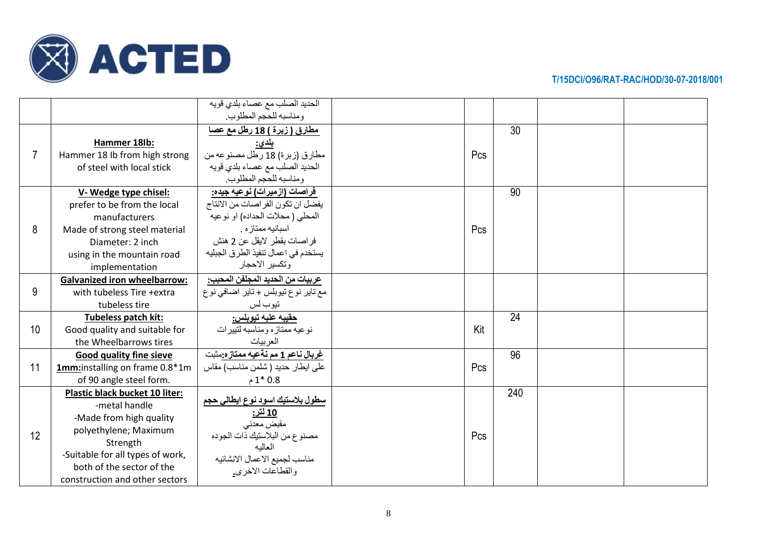

|    |                                                                                                                                                                                                                           | الحديد الصلب مع عصاء بلدي قويه<br>ومناسبه للحجم المطلوب.                                                                                                                                                        |     |     |  |
|----|---------------------------------------------------------------------------------------------------------------------------------------------------------------------------------------------------------------------------|-----------------------------------------------------------------------------------------------------------------------------------------------------------------------------------------------------------------|-----|-----|--|
| 7  | Hammer 18lb:<br>Hammer 18 Ib from high strong<br>of steel with local stick                                                                                                                                                | مطارق ( زبرة ) 18 رطل مع عصا<br>بلدى:<br>مطارق (زبرة) 18 رطل مصنوعه من<br>الحديد الصلب مع عصاء بلدي قويه<br>و مناسبه للحجم المطلوب.                                                                             | Pcs | 30  |  |
| 8  | V-Wedge type chisel:<br>prefer to be from the local<br>manufacturers<br>Made of strong steel material<br>Diameter: 2 inch<br>using in the mountain road<br>implementation                                                 | فراصات (ازمیرات) نوعیه جیده:<br>يفضل ان تكون الفراصات من الانتاج<br>المحلي ( محلات الحداده) او نوعيه<br>اسبانيه ممتاز ه.<br>فراصات بقطر لايقل عن 2 هنش<br>يستخدم في اعمال تنفيذ الطرق الجبليه<br>وتكسير الاحجار | Pcs | 90  |  |
| 9  | <b>Galvanized iron wheelbarrow:</b><br>with tubeless Tire +extra<br>tubeless tire                                                                                                                                         | عربيات من الحديد المجلفن المحبب:<br>مع نایر نوع نیوبلس + نایر اضافی نوع<br>تيوب لس                                                                                                                              |     |     |  |
| 10 | Tubeless patch kit:<br>Good quality and suitable for<br>the Wheelbarrows tires                                                                                                                                            | <u>حقيبه علبه تيوبلس:</u><br>نو عيه ممتاز ه و مناسبه لتبير ات<br>العربيات                                                                                                                                       | Kit | 24  |  |
| 11 | Good quality fine sieve<br>1mm:installing on frame 0.8*1m<br>of 90 angle steel form.                                                                                                                                      | غربال ناعم 1 مم نةعيه ممتازه:مثبت<br>على ايطار حديد ( شلمن مناسب) مقاس<br>$1*0.8$                                                                                                                               | Pcs | 96  |  |
| 12 | <b>Plastic black bucket 10 liter:</b><br>-metal handle<br>-Made from high quality<br>polyethylene; Maximum<br>Strength<br>-Suitable for all types of work,<br>both of the sector of the<br>construction and other sectors | <u>سطول بلاستيك اسود نوع ايطالي حجم</u><br><u> 10 لتر:</u><br>مقبض معدني<br>مصنوع من البلاستيك ذات الجوده<br>العالبه<br>مناسب لجميع الاعمال الانشائيه<br>والقطاعات الاخرى.                                      | Pcs | 240 |  |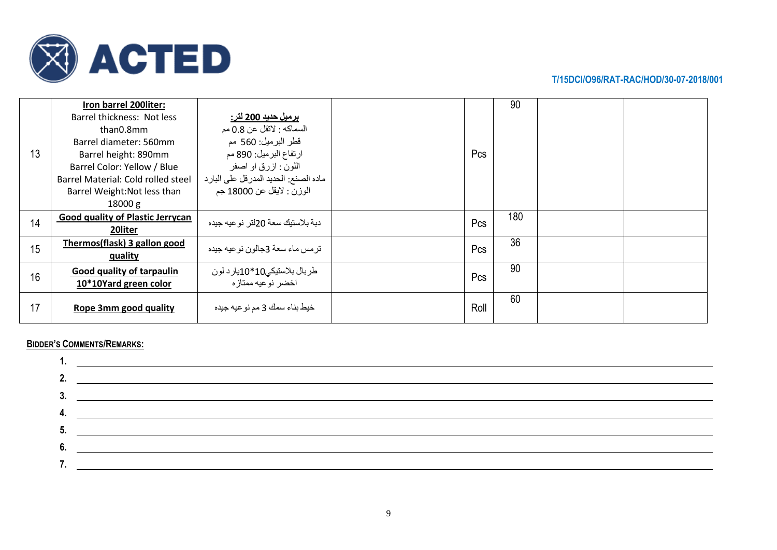

|    | Iron barrel 200 liter:             |                                                    |      | 90  |  |
|----|------------------------------------|----------------------------------------------------|------|-----|--|
|    | Barrel thickness: Not less         | برميل حديد 200 لتر:                                |      |     |  |
|    | than0.8mm                          | السماكه : لاتقل عن 0.8 مم                          |      |     |  |
|    | Barrel diameter: 560mm             | قطر البرميل: 560 مم                                |      |     |  |
| 13 | Barrel height: 890mm               | ارتفاع البرميل: 890 مم                             | Pcs  |     |  |
|    | Barrel Color: Yellow / Blue        | اللون : ازرق او اصفر                               |      |     |  |
|    | Barrel Material: Cold rolled steel | ماده الصنع: الحديد المدر فل على البار د            |      |     |  |
|    | Barrel Weight: Not less than       | الوزن : لايقل عن 18000 جم                          |      |     |  |
|    | 18000 g                            |                                                    |      |     |  |
|    | Good quality of Plastic Jerrycan   |                                                    |      | 180 |  |
|    |                                    |                                                    |      |     |  |
| 14 | 20liter                            | دبة بلاستيك سعة 20لتر ـنو عيه جيده                 | Pcs  |     |  |
|    | Thermos(flask) 3 gallon good       |                                                    |      | 36  |  |
| 15 | quality                            | تر مس ماء سعة 3جالون نو عيه جيده                   | Pcs  |     |  |
|    | Good quality of tarpaulin          |                                                    |      | 90  |  |
| 16 | 10*10Yard green color              | طربال بلاستيكى10*10يارد لون<br>اخضر نو عيه ممتاز ه | Pcs  |     |  |
|    |                                    |                                                    |      | 60  |  |
| 17 | Rope 3mm good quality              | خيط بناء سمك 3 مم نوعيه جيده                       | Roll |     |  |

#### **BIDDER'S COMMENTS/REMARKS:**